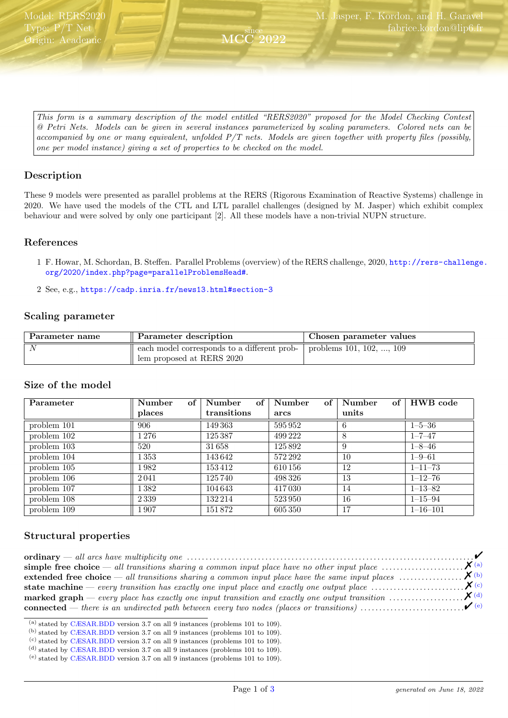<span id="page-0-5"></span>This form is a summary description of the model entitled "RERS2020" proposed for the Model Checking Contest @ Petri Nets. Models can be given in several instances parameterized by scaling parameters. Colored nets can be accompanied by one or many equivalent, unfolded P/T nets. Models are given together with property files (possibly, one per model instance) giving a set of properties to be checked on the model.

since

2022

# Description

These 9 models were presented as parallel problems at the RERS (Rigorous Examination of Reactive Systems) challenge in 2020. We have used the models of the CTL and LTL parallel challenges (designed by M. Jasper) which exhibit complex behaviour and were solved by only one participant [2]. All these models have a non-trivial NUPN structure.

#### References

- 1 F. Howar, M. Schordan, B. Steffen. Parallel Problems (overview) of the RERS challenge, 2020, [http://rers-challenge.](http://rers-challenge.org/2020/index.php?page=parallelProblemsHead#) [org/2020/index.php?page=parallelProblemsHead#](http://rers-challenge.org/2020/index.php?page=parallelProblemsHead#).
- 2 See, e.g., <https://cadp.inria.fr/news13.html#section-3>

#### Scaling parameter

| Parameter name | Parameter description                                                    | Chosen parameter values          |
|----------------|--------------------------------------------------------------------------|----------------------------------|
| $\Lambda$      | each model corresponds to a different prob-<br>lem proposed at RERS 2020 | problems $101, 102, \ldots, 109$ |

#### Size of the model

| Parameter     | of<br>Number | of<br>Number | Number<br>of | Number | of $\vert$ HWB code |
|---------------|--------------|--------------|--------------|--------|---------------------|
|               | places       | transitions  | arcs         | units  |                     |
| problem 101   | 906          | 149 363      | 595952       | 6      | $1 - 5 - 36$        |
| problem 102   | 1 276        | 125 387      | 499 222      | 8      | $1 - 7 - 47$        |
| problem 103   | 520          | 31658        | 125892       | 9      | $1 - 8 - 46$        |
| problem 104   | $1\,353$     | 143642       | 572 292      | 10     | $1 - 9 - 61$        |
| problem 105   | 1982         | 153412       | 610 156      | 12     | $1 - 11 - 73$       |
| problem $106$ | 2041         | 125740       | 498326       | 13     | $1 - 12 - 76$       |
| problem 107   | 1382         | 104 643      | 417030       | 14     | $1 - 13 - 82$       |
| problem 108   | 2339         | 132 214      | 523950       | 16     | $1 - 15 - 94$       |
| problem 109   | 1 907        | 151872       | 605350       | 17     | $1 - 16 - 101$      |

#### Structural properties

<span id="page-0-0"></span><sup>(</sup>a) stated by [CÆSAR.BDD](http://cadp.inria.fr/man/caesar.bdd.html) version 3.7 on all 9 instances (problems 101 to 109).

- <span id="page-0-1"></span>(b) stated by [CÆSAR.BDD](http://cadp.inria.fr/man/caesar.bdd.html) version 3.7 on all 9 instances (problems 101 to 109).
- <span id="page-0-2"></span>(c) stated by [CÆSAR.BDD](http://cadp.inria.fr/man/caesar.bdd.html) version 3.7 on all 9 instances (problems 101 to 109).
- <span id="page-0-3"></span>(d) stated by [CÆSAR.BDD](http://cadp.inria.fr/man/caesar.bdd.html) version 3.7 on all 9 instances (problems 101 to 109).

<span id="page-0-4"></span><sup>(</sup>e) stated by [CÆSAR.BDD](http://cadp.inria.fr/man/caesar.bdd.html) version 3.7 on all 9 instances (problems 101 to 109).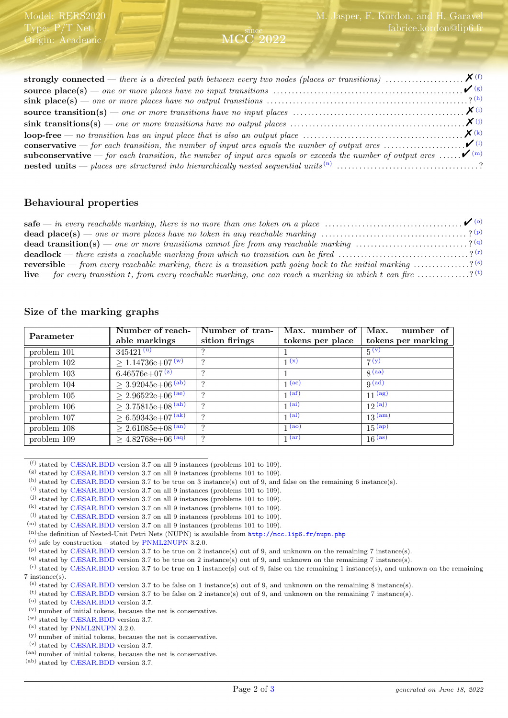strongly connected — there is a directed path between every two nodes (places or transitions) . . . . . . . . . . . . . . . . . . . . . %[\(f\)](#page-1-0) source place(s) — one or more places have no input transitions . . . . . . . . . . . . . . . . . . . . . . . . . . . . . . . . . . . . . . . . . . . . . . . . . . . "[\(g\)](#page-1-1) sink place(s) — one or more places have no output transitions . . . . . . . . . . . . . . . . . . . . . . . . . . . . . . . . . . . . . . . . . . . . . . . . . . . . . . ? [\(h\)](#page-1-2) source transition(s) — one or more transitions have no input places . . . . . . . . . . . . . . . . . . . . . . . . . . . . . . . . . . . . . . . . . . . . . . %[\(i\)](#page-1-3) sink transitions(s) — one or more transitions have no output places . . . . . . . . . . . . . . . . . . . . . . . . . . . . . . . . . . . . . . . . . . . . . . .%[\(j\)](#page-1-4) loop-free — no transition has an input place that is also an output place . . . . . . . . . . . . . . . . . . . . . . . . . . . . . . . . . . . . . . . . . . . %[\(k\)](#page-1-5) **conservative** — for each transition, the number of input arcs equals the number of output arcs  $\dots \dots \dots \dots \dots$ subconservative — for each transition, the number of input arcs equals or exceeds the number of output arcs ...... $\checkmark$ <sup>[\(m\)](#page-1-7)</sup> nested units — places are structured into hierarchically nested sequential units [\(n\)](#page-1-8) . . . . . . . . . . . . . . . . . . . . . . . . . . . . . . . . . . . . . . ?

since MCC 2022

# Behavioural properties

Model: RERS2020 Type: P/T Net Origin: Academic

safe — in every reachable marking, there is no more than one token on a place . . . . . . . . . . . . . . . . . . . . . . . . . . . . . . . . . . . . . "[\(o\)](#page-1-9) dead place(s) — one or more places have no token in any reachable marking . . . . . . . . . . . . . . . . . . . . . . . . . . . . . . . . . . . . . . . ? [\(p\)](#page-1-10) dead transition(s) — one or more transitions cannot fire from any reachable marking ..............................? <sup>[\(q\)](#page-1-11)</sup> **deadlock** — there exists a reachable marking from which no transition can be fired  $\ldots$ ..............................? <sup>[\(r\)](#page-1-12)</sup> **reversible** — from every reachable marking, there is a transition path going back to the initial marking  $\ldots \ldots \ldots$ live — for every transition t, from every reachable marking, one can reach a marking in which t can fire  $\ldots$ ..........?<sup>[\(t\)](#page-1-14)</sup>

### Size of the marking graphs

| Parameter     | Number of reach-<br>able markings | Number of tran-<br>sition firings | Max. number of<br>tokens per place | Max.<br>number of<br>tokens per marking |
|---------------|-----------------------------------|-----------------------------------|------------------------------------|-----------------------------------------|
| problem 101   | $345421^{\overline{u}}$           |                                   |                                    | $5^{(v)}$                               |
| problem $102$ | $\geq 1.14736e+07^{(w)}$          | ച                                 | 1(x)                               | 7(y)                                    |
| problem 103   | $6.46576e + 07^{(z)}$             |                                   |                                    | $\mathbf{g}$ (aa)                       |
| problem 104   | $\geq 3.92045e+06^{(ab)}$         | $\Omega$                          | $1$ (ac)                           | $q$ (ad)                                |
| problem 105   | $\geq 2.96522e+06^{(ae)}$         |                                   | 1 <sup>(af)</sup>                  | 11 (ag)                                 |
| problem 106   | $\geq 3.75815e+08^{(ah)}$         | $\Omega$                          | 1 <sup>(ai)</sup>                  | $12^{(aj)}$                             |
| problem 107   | $\geq 6.59343e+07^{(ak)}$         | $\Omega$                          | 1 <sup>(al)</sup>                  | $13^{(am)}$                             |
| problem 108   | $\geq 2.61085e+08^{(an)}$         | $\Omega$                          | 1 <sup>(ao)</sup>                  | $15^{(ap)}$                             |
| problem 109   | $\geq 4.82768e+06^{(aq)}$         | $\Omega$                          | 1 <sup>(ar)</sup>                  | 16 <sup>(as)</sup>                      |

<span id="page-1-0"></span> $^{(f)}$  stated by [CÆSAR.BDD](http://cadp.inria.fr/man/caesar.bdd.html) version 3.7 on all 9 instances (problems 101 to 109).

<span id="page-1-2"></span> $(h)$  stated by [CÆSAR.BDD](http://cadp.inria.fr/man/caesar.bdd.html) version 3.7 to be true on 3 instance(s) out of 9, and false on the remaining 6 instance(s).

<span id="page-1-5"></span> $(k)$  stated by [CÆSAR.BDD](http://cadp.inria.fr/man/caesar.bdd.html) version 3.7 on all 9 instances (problems 101 to 109).

- <span id="page-1-8"></span>(n)the definition of Nested-Unit Petri Nets (NUPN) is available from <http://mcc.lip6.fr/nupn.php>
- <span id="page-1-9"></span> $^{(o)}$  safe by construction – stated by [PNML2NUPN](http://pnml.lip6.fr/pnml2nupn) 3.2.0.

<span id="page-1-12"></span><span id="page-1-11"></span>(q) stated by [CÆSAR.BDD](http://cadp.inria.fr/man/caesar.bdd.html) version 3.7 to be true on 2 instance(s) out of 9, and unknown on the remaining 7 instance(s).

- <span id="page-1-14"></span> $^{(t)}$  stated by [CÆSAR.BDD](http://cadp.inria.fr/man/caesar.bdd.html) version 3.7 to be false on 2 instance(s) out of 9, and unknown on the remaining 7 instance(s).
- <span id="page-1-15"></span> $^{\rm (u)}$  stated by [CÆSAR.BDD](http://cadp.inria.fr/man/caesar.bdd.html) version 3.7.
- (v) number of initial tokens, because the net is conservative.
- (w) stated by [CÆSAR.BDD](http://cadp.inria.fr/man/caesar.bdd.html) version 3.7.
- (x) stated by [PNML2NUPN](http://pnml.lip6.fr/pnml2nupn) 3.2.0.

(z) stated by [CÆSAR.BDD](http://cadp.inria.fr/man/caesar.bdd.html) version 3.7.

<span id="page-1-1"></span><sup>(</sup>g) stated by [CÆSAR.BDD](http://cadp.inria.fr/man/caesar.bdd.html) version 3.7 on all 9 instances (problems 101 to 109).

<span id="page-1-3"></span><sup>(</sup>i) stated by [CÆSAR.BDD](http://cadp.inria.fr/man/caesar.bdd.html) version 3.7 on all 9 instances (problems 101 to 109).

<span id="page-1-4"></span> $(i)$  stated by [CÆSAR.BDD](http://cadp.inria.fr/man/caesar.bdd.html) version 3.7 on all 9 instances (problems 101 to 109).

<span id="page-1-6"></span> $(1)$  stated by [CÆSAR.BDD](http://cadp.inria.fr/man/caesar.bdd.html) version 3.7 on all 9 instances (problems 101 to 109).

<span id="page-1-7"></span><sup>(</sup>m) stated by [CÆSAR.BDD](http://cadp.inria.fr/man/caesar.bdd.html) version 3.7 on all 9 instances (problems 101 to 109).

<span id="page-1-10"></span> $(p)$  stated by [CÆSAR.BDD](http://cadp.inria.fr/man/caesar.bdd.html) version 3.7 to be true on 2 instance(s) out of 9, and unknown on the remaining 7 instance(s).

 $<sup>(r)</sup>$  stated by [CÆSAR.BDD](http://cadp.inria.fr/man/caesar.bdd.html) version 3.7 to be true on 1 instance(s) out of 9, false on the remaining 1 instance(s), and unknown on the remaining</sup> 7 instance(s).

<span id="page-1-13"></span><sup>(</sup>s) stated by [CÆSAR.BDD](http://cadp.inria.fr/man/caesar.bdd.html) version 3.7 to be false on 1 instance(s) out of 9, and unknown on the remaining 8 instance(s).

<sup>(</sup>y) number of initial tokens, because the net is conservative.

<sup>(</sup>aa) number of initial tokens, because the net is conservative.

<sup>(</sup>ab) stated by [CÆSAR.BDD](http://cadp.inria.fr/man/caesar.bdd.html) version 3.7.